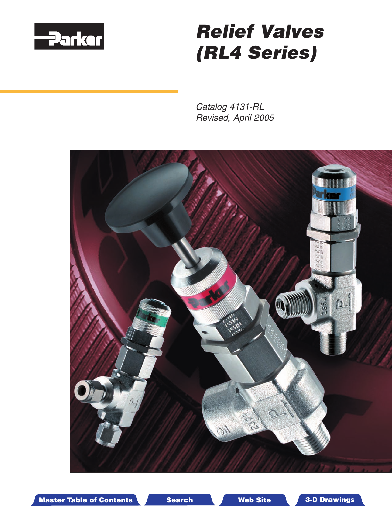

# Relief Valves (RL4 Series)

Catalog 4131-RL Revised, April 2005



Master Table of Contents **3. Dearch Master Table of Contents 3-D Drawings** Search Master Table of Contents 3-D Drawings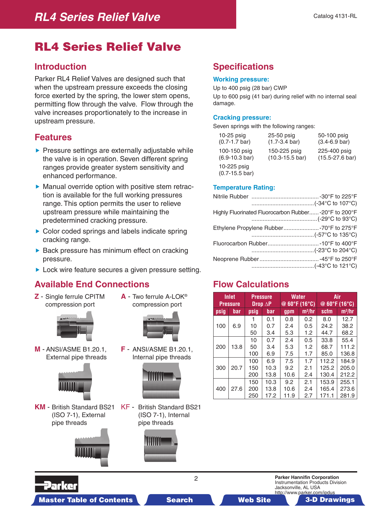## RL4 Series Relief Valve

#### **Introduction**

Parker RL4 Relief Valves are designed such that when the upstream pressure exceeds the closing force exerted by the spring, the lower stem opens, permitting flow through the valve. Flow through the valve increases proportionately to the increase in upstream pressure.

#### **Features**

- $\blacktriangleright$  Pressure settings are externally adjustable while the valve is in operation. Seven different spring ranges provide greater system sensitivity and enhanced performance.
- Manual override option with positive stem retraction is available for the full working pressures range. This option permits the user to relieve upstream pressure while maintaining the predetermined cracking pressure.
- ▶ Color coded springs and labels indicate spring cracking range.
- $\triangleright$  Back pressure has minimum effect on cracking pressure.
- ▶ Lock wire feature secures a given pressure setting.

### **Available End Connections**

**Z** - Single ferrule CPITM compression port

![](_page_1_Picture_13.jpeg)

**M** - ANSI/ASME B1.20.1, External pipe threads

![](_page_1_Picture_15.jpeg)

**KM** - British Standard BS21 (ISO 7-1), External pipe threads

![](_page_1_Picture_17.jpeg)

KF - British Standard BS21 (ISO 7-1), Internal pipe threads

**A** - Two ferrule A-LOK® compression port

**F** - ANSI/ASME B1.20.1, Internal pipe threads

![](_page_1_Picture_19.jpeg)

## **Specifications**

#### **Working pressure:**

Up to 400 psig (28 bar) CWP Up to 600 psig (41 bar) during relief with no internal seal damage.

#### **Cracking pressure:**

Seven springs with the following ranges:

| $10-25$ psig                              | 25-50 psig                  | 50-100 psig                 |
|-------------------------------------------|-----------------------------|-----------------------------|
| $(0.7 - 1.7 \text{ bar})$                 | $(1.7-3.4 \text{ bar})$     | $(3.4 - 6.9 \text{ bar})$   |
| 100-150 psig                              | 150-225 psig                | 225-400 psig                |
| $(6.9 - 10.3 \text{ bar})$                | $(10.3 - 15.5 \text{ bar})$ | $(15.5 - 27.6 \text{ bar})$ |
| 10-225 psig<br>$(0.7 - 15.5 \text{ bar})$ |                             |                             |

#### **Temperature Rating:**

| Highly Fluorinated Fluorocarbon Rubber-20°F to 200°F |  |
|------------------------------------------------------|--|
| Ethylene Propylene Rubber-70°F to 275°F              |  |
|                                                      |  |
|                                                      |  |

#### **Flow Calculations**

| <b>Inlet</b><br><b>Pressure</b> |      | <b>Pressure</b>   | Drop $\Delta$ P      | <b>Water</b><br>@ $60^{\circ}$ F (16 $^{\circ}$ C) |                   | Air<br>@ 60°F (16°C)    |                         |  |  |
|---------------------------------|------|-------------------|----------------------|----------------------------------------------------|-------------------|-------------------------|-------------------------|--|--|
| psig                            | bar  | psig              | bar                  | gpm                                                | $m^3/hr$          | scfm                    | $m^3/hr$                |  |  |
| 100                             | 6.9  | 1<br>10<br>50     | 0.1<br>0.7<br>3.4    | 0.8<br>2.4<br>5.3                                  | 0.2<br>0.5<br>1.2 | 8.0<br>24.2<br>44.7     | 12.7<br>38.2<br>68.2    |  |  |
| 200                             | 13.8 | 10<br>50<br>100   | 0.7<br>3.4<br>6.9    | 2.4<br>5.3<br>7.5                                  | 0.5<br>1.2<br>1.7 | 33.8<br>68.7<br>85.0    | 55.4<br>111.2<br>136.8  |  |  |
| 300                             | 20.7 | 100<br>150<br>200 | 6.9<br>10.3<br>13.8  | 7.5<br>9.2<br>10.6                                 | 1.7<br>2.1<br>2.4 | 112.2<br>125.2<br>130.4 | 184.9<br>205.0<br>212.2 |  |  |
| 400                             | 27.6 | 150<br>200<br>250 | 10.3<br>13.8<br>17.2 | 9.2<br>10.6<br>11.9                                | 2.1<br>2.4<br>2.7 | 153.9<br>165.4<br>171.1 | 255.1<br>273.6<br>281.9 |  |  |

Master Table of Contents **3. Dearch Master Table of Contents 3-D Drawings 3-D Drawings 3-D Drawings 3-D Drawings** 

2 **Parker Hannifin Corporation** Instrumentation Products Division Jacksonville, AL USA

http://www.parker.com/ipdus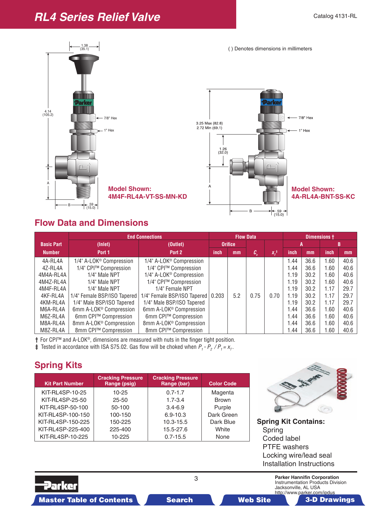## **RL4 Series Relief Valve**

![](_page_2_Figure_2.jpeg)

## **Flow Data and Dimensions**

|                   | <b>End Connections</b>              |                                     | <b>Flow Data</b> |     |                            | Dimensions +       |      |      |      |      |
|-------------------|-------------------------------------|-------------------------------------|------------------|-----|----------------------------|--------------------|------|------|------|------|
| <b>Basic Part</b> | (Inlet)                             | (Outlet)                            | <b>Orifice</b>   |     |                            |                    |      |      |      |      |
| <b>Number</b>     | Port 1                              | Port 2                              | inch             | mm  | $c_{\scriptscriptstyle v}$ | $X_{\tau}^{\ddag}$ | inch | mm   | inch | mm   |
| 4A-RL4A           | 1/4" A-LOK <sup>®</sup> Compression | 1/4" A-LOK <sup>®</sup> Compression |                  |     |                            |                    | 1.44 | 36.6 | 1.60 | 40.6 |
| 4Z-RL4A           | 1/4" CPI™ Compression               | 1/4" CPI™ Compression               |                  |     |                            |                    | 1.44 | 36.6 | 1.60 | 40.6 |
| 4M4A-RL4A         | 1/4" Male NPT                       | 1/4" A-LOK <sup>®</sup> Compression |                  |     |                            |                    | 1.19 | 30.2 | 1.60 | 40.6 |
| 4M4Z-RL4A         | 1/4" Male NPT                       | 1/4" CPI™ Compression               |                  |     |                            |                    | 1.19 | 30.2 | 1.60 | 40.6 |
| 4M4F-RL4A         | 1/4" Male NPT                       | 1/4" Female NPT                     |                  |     |                            |                    | 1.19 | 30.2 | 1.17 | 29.7 |
| 4KF-RL4A          | 1/4" Female BSP/ISO Tapered         | 1/4" Female BSP/ISO Tapered         | 0.203            | 5.2 | 0.75                       | 0.70               | 1.19 | 30.2 | 1.17 | 29.7 |
| 4KM-RL4A          | 1/4" Male BSP/ISO Tapered           | 1/4" Male BSP/ISO Tapered           |                  |     |                            |                    | 1.19 | 30.2 | 1.17 | 29.7 |
| M6A-RL4A          | 6mm A-LOK <sup>®</sup> Compression  | 6mm A-LOK <sup>®</sup> Compression  |                  |     |                            |                    | 1.44 | 36.6 | 1.60 | 40.6 |
| M6Z-RL4A          | 6mm CPI™ Compression                | 6mm CPI™ Compression                |                  |     |                            |                    | 1.44 | 36.6 | 1.60 | 40.6 |
| M8A-RL4A          | 8mm A-LOK <sup>®</sup> Compression  | 8mm A-LOK® Compression              |                  |     |                            |                    | 1.44 | 36.6 | 1.60 | 40.6 |
| M8Z-RL4A          | 8mm CPI™ Compression                | 8mm CPI™ Compression                |                  |     |                            |                    | 1.44 | 36.6 | 1.60 | 40.6 |

**†** For CPI™ and A-LOK®, dimensions are measured with nuts in the finger tight position.

**‡** Tested in accordance with ISA S75.02. Gas flow will be choked when  $P_1 - P_2 / P_1 = x_T$ .

## **Spring Kits**

| <b>Kit Part Number</b> | <b>Cracking Pressure</b><br>Range (psig) | <b>Cracking Pressure</b><br>Range (bar) | <b>Color Code</b> |
|------------------------|------------------------------------------|-----------------------------------------|-------------------|
| KIT-RL4SP-10-25        | $10 - 25$                                | $0.7 - 1.7$                             | Magenta           |
| KIT-RL4SP-25-50        | $25 - 50$                                | $1.7 - 3.4$                             | <b>Brown</b>      |
| KIT-RL4SP-50-100       | 50-100                                   | $3.4 - 6.9$                             | Purple            |
| KIT-RL4SP-100-150      | 100-150                                  | $6.9 - 10.3$                            | Dark Green        |
| KIT-RL4SP-150-225      | 150-225                                  | $10.3 - 15.5$                           | Dark Blue         |
| KIT-RL4SP-225-400      | 225-400                                  | 15.5-27.6                               | White             |
| KIT-RL4SP-10-225       | 10-225                                   | $0.7 - 15.5$                            | None              |

![](_page_2_Picture_9.jpeg)

**Spring Kit Contains:**  Spring Coded label PTFE washers Locking wire/lead seal Installation Instructions

Parker

3 **Parker Hannifin Corporation** Instrumentation Products Division Jacksonville, AL USA http://www.parker.com/ipdus

Master Table of Contents **3. Dearch Master Table of Contents 3-D Drawings Search** Master Table of Contents 3-D Drawings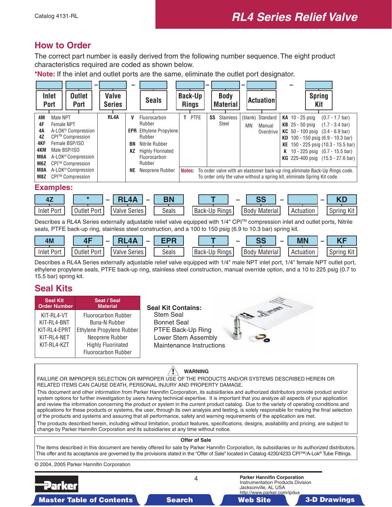#### <span id="page-3-0"></span>**How to Order**

The correct part number is easily derived from the following number sequence. The eight product characteristics required are coded as shown below.

**\*Note:** If the inlet and outlet ports are the same, eliminate the outlet port designator.

|                         | <b>Inlet</b><br><b>Outlet</b><br><b>Port</b><br><b>Port</b>                                                                                                                                                                                       | <b>Valve</b><br><b>Series</b> |                   | <b>Seals</b>                               |    | <b>Back-Up</b><br><b>Rings</b> | - | <b>Body</b><br><b>Material</b>  | - | <b>Actuation</b>          |                   | <b>Spring</b><br>Kit |                                                                                                                                       |
|-------------------------|---------------------------------------------------------------------------------------------------------------------------------------------------------------------------------------------------------------------------------------------------|-------------------------------|-------------------|--------------------------------------------|----|--------------------------------|---|---------------------------------|---|---------------------------|-------------------|----------------------|---------------------------------------------------------------------------------------------------------------------------------------|
| 4M                      | Male NPT                                                                                                                                                                                                                                          | RL <sub>4</sub> A             | v                 | Fluorocarbon<br>Rubber                     | T. | PTFE                           |   | <b>Stainless</b><br>SS<br>Steel |   | (blank) Standard          | KA $10 - 25$ psig |                      | $(0.7 - 1.7 \text{ bar})$                                                                                                             |
| 4F<br>4Α<br>4Z          | Female NPT<br>A-LOK <sup>®</sup> Compression<br>CPI™ Compression                                                                                                                                                                                  |                               | <b>EPR</b>        | <b>Ethylene Propylene</b><br>Rubber        |    |                                |   |                                 |   | ΜN<br>Manual<br>Overdrive | $KB$ 25 - 50 psig |                      | $(1.7 - 3.4 \text{ bar})$<br><b>KC</b> 50 - 100 psig $(3.4 - 6.9 \text{ bar})$<br><b>KD</b> 100 - 150 psig $(6.9 - 10.3 \text{ bar})$ |
| 4KF<br>4KM              | Female BSP/ISO<br>Male BSP/ISO                                                                                                                                                                                                                    |                               | BN<br>ΚZ          | Nitrile Rubber<br><b>Highly Florinated</b> |    |                                |   |                                 |   |                           |                   |                      | <b>KE</b> 150 - 225 psig $(10.3 - 15.5 \text{ bar})$                                                                                  |
| M6A<br>M <sub>6</sub> Z | A-LOK <sup>®</sup> Compression<br>CPI™ Compression                                                                                                                                                                                                |                               |                   | Fluorocarbon<br>Rubber                     |    |                                |   |                                 |   |                           |                   |                      | K 10 - 225 psig $(0.7 - 15.5 \text{ bar})$<br><b>KG</b> 225-400 psig (15.5 - 27.6 bar)                                                |
| M <sub>8</sub> A<br>M8Z | A-LOK <sup>®</sup> Compression<br>NE<br>Neoprene Rubber<br>To order valve with an elastomer back-up ring, eliminate Back-Up Rings code.<br>Notes:<br>CPI™ Compression<br>To order only the valve without a spring kit, eliminate Spring Kit code. |                               |                   |                                            |    |                                |   |                                 |   |                           |                   |                      |                                                                                                                                       |
|                         | <b>Examples:</b>                                                                                                                                                                                                                                  |                               |                   |                                            |    |                                |   |                                 |   |                           |                   |                      |                                                                                                                                       |
|                         | $\star$<br>4Z                                                                                                                                                                                                                                     |                               | RL <sub>4</sub> A | <b>BN</b>                                  |    |                                |   |                                 |   | SS                        |                   |                      | KD                                                                                                                                    |

Describes a RL4A Series externally adjustable relief valve equipped with 1/4" CPI™ compression inlet and outlet ports, Nitrile seals, PTFE back-up ring, stainless steel construction, and a 100 to 150 psig (6.9 to 10.3 bar) spring kit.

Body Material

Spring Kit

Inlet Port | | Outlet Port | | Valve Series | | Seals | | Back-Up Rings | | Body Material | | Actuation

Seals

| 4M                | $\overline{ }$<br>. . | <b>OF</b><br>$\overline{\phantom{a}}$<br>-<br>. | FNB        |                                           | -    | <u>ne</u> | - | <b>MN</b>     | .             |
|-------------------|-----------------------|-------------------------------------------------|------------|-------------------------------------------|------|-----------|---|---------------|---------------|
| <b>Inlet Port</b> | -<br>. )utlet<br>Port | Series<br>Valve                                 | ⌒<br>Seals | $\sim$ $\cdot$<br><b>Rings</b><br>Back-Up | Body | Material  |   | Δrt<br>uatior | Kit<br>Sprina |

Describes a RL4A Series externally adjustable relief valve equipped with 1/4" male NPT inlet port, 1/4" female NPT outlet port, ethylene propylene seals, PTFE back-up ring, stainless steel construction, manual override option, and a 10 to 225 psig (0.7 to 15.5 bar) spring kit.

### **Seal Kits**

Outlet Port

Valve Series

| <b>Seal Kit</b><br><b>Order Number</b> | Seat / Seal<br><b>Material</b> | <b>Seal Kit Contains:</b> |  |
|----------------------------------------|--------------------------------|---------------------------|--|
| KIT-RL4-VT                             | <b>Fluorocarbon Rubber</b>     | <b>Stem Seal</b>          |  |
| KIT-RL4-BNT                            | <b>Buna-N Rubber</b>           | <b>Bonnet Seal</b>        |  |
| KIT-RL4-EPRT                           | Ethylene Propylene Rubber      | PTFE Back-Up Ring         |  |
| KIT-RL4-NET                            | Neoprene Rubber                | Lower Stem Assembly       |  |
| KIT-RL4-KZT                            | <b>Highly Fluorinated</b>      | Maintenance Instructions  |  |
|                                        | <b>Fluorocarbon Rubber</b>     |                           |  |
|                                        |                                |                           |  |

Æ **WARNING**

FAILURE OR IMPROPER SELECTION OR IMPROPER USE OF THE PRODUCTS AND/OR SYSTEMS DESCRIBED HEREIN OR RELATED ITEMS CAN CAUSE DEATH, PERSONAL INJURY AND PROPERTY DAMAGE.

This document and other information from Parker Hannifin Corporation, its subsidiaries and authorized distributors provide product and/or system options for further investigation by users having technical expertise. It is important that you analyze all aspects of your application and review the information concerning the product or system in the current product catalog. Due to the variety of operating conditions and applications for these products or systems, the user, through its own analysis and testing, is solely responsible for making the final selection of the products and systems and assuring that all performance, safety and warning requirements of the application are met.

The products described herein, including without limitation, product features, specifications, designs, availability and pricing, are subject to change by Parker Hannifin Corporation and its subsidiaries at any time without notice.

#### **Offer of Sale**

The items described in this document are hereby offered for sale by Parker Hannifin Corporation, its subsidiaries or its authorized distributors. This offer and its acceptance are governed by the provisions stated in the "Offer of Sale" located in Catalog 4230/4233 CPI™/A-Lok® Tube Fittings.

© 2004, 2005 Parker Hannifin Corporation

![](_page_3_Figure_18.jpeg)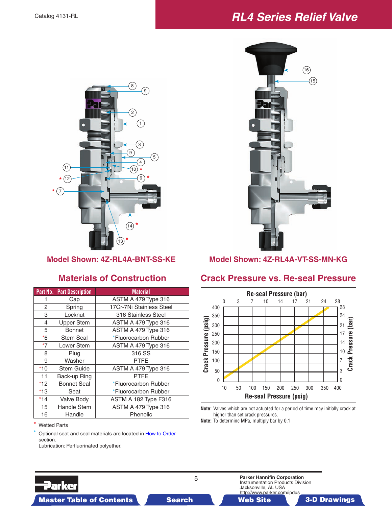## **RL4 Series Relief Valve**

![](_page_4_Picture_2.jpeg)

|                | <b>Part No. Part Description</b> | <b>Material</b>            |
|----------------|----------------------------------|----------------------------|
| 1              | Cap                              | ASTM A 479 Type 316        |
| $\overline{2}$ | Spring                           | 17Cr-7Ni Stainless Steel   |
| 3              | Locknut                          | 316 Stainless Steel        |
| 4              | <b>Upper Stem</b>                | ASTM A 479 Type 316        |
| 5              | <b>Bonnet</b>                    | ASTM A 479 Type 316        |
| $*6$           | Stem Seal                        | *Fluorocarbon Rubber       |
| $*7$           | Lower Stem                       | <b>ASTM A 479 Type 316</b> |
| 8              | Plug                             | 316 SS                     |
| 9              | Washer                           | PTFE                       |
| $*10$          | <b>Stem Guide</b>                | <b>ASTM A 479 Type 316</b> |
| 11             | Back-up Ring                     | PTFE                       |
| $*12$          | <b>Bonnet Seal</b>               | *Fluorocarbon Rubber       |
| $*13$          | Seat                             | *Fluorocarbon Rubber       |
| $*14$          | Valve Body                       | ASTM A 182 Type F316       |
| 15             | <b>Handle Stem</b>               | ASTM A 479 Type 316        |
| 16             | Handle                           | Phenolic                   |

\* Wetted Parts

Parker

Optional seat and seal materials are l[ocated in How to Order](#page-3-0) section. Lubrication: Perfluorinated polyether.

 $(16)$  $(15)$ 

**Model Shown: 4Z-RL4A-BNT-SS-KE Model Shown: 4Z-RL4A-VT-SS-MN-KG**

#### **Materials of Construction Crack Pressure vs. Re-seal Pressure**

![](_page_4_Figure_11.jpeg)

**Note:** Valves which are not actuated for a period of time may initially crack at higher than set crack pressures.

**Note:** To determine MPa, multiply bar by 0.1

![](_page_4_Picture_14.jpeg)